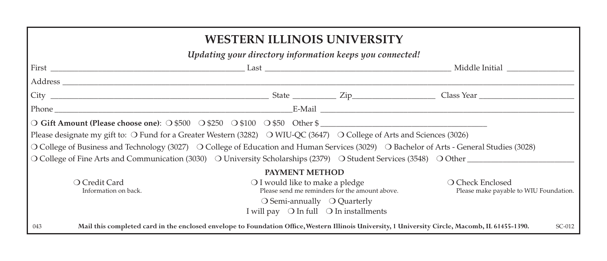| <b>WESTERN ILLINOIS UNIVERSITY</b>                                                                                                                                  |                                                          |                                                |                                                                                                                    |  |  |  |  |  |
|---------------------------------------------------------------------------------------------------------------------------------------------------------------------|----------------------------------------------------------|------------------------------------------------|--------------------------------------------------------------------------------------------------------------------|--|--|--|--|--|
| Updating your directory information keeps you connected!                                                                                                            |                                                          |                                                |                                                                                                                    |  |  |  |  |  |
|                                                                                                                                                                     |                                                          |                                                |                                                                                                                    |  |  |  |  |  |
|                                                                                                                                                                     |                                                          |                                                |                                                                                                                    |  |  |  |  |  |
|                                                                                                                                                                     |                                                          |                                                |                                                                                                                    |  |  |  |  |  |
|                                                                                                                                                                     |                                                          |                                                |                                                                                                                    |  |  |  |  |  |
| O Gift Amount (Please choose one): O \$500 O \$250 O \$100 O \$50 Other \$                                                                                          |                                                          |                                                |                                                                                                                    |  |  |  |  |  |
| Please designate my gift to: O Fund for a Greater Western (3282) O WIU-QC (3647) O College of Arts and Sciences (3026)                                              |                                                          |                                                |                                                                                                                    |  |  |  |  |  |
| O College of Business and Technology (3027) O College of Education and Human Services (3029) O Bachelor of Arts - General Studies (3028)                            |                                                          |                                                |                                                                                                                    |  |  |  |  |  |
|                                                                                                                                                                     |                                                          |                                                | O College of Fine Arts and Communication (3030) O University Scholarships (2379) O Student Services (3548) O Other |  |  |  |  |  |
| <b>PAYMENT METHOD</b>                                                                                                                                               |                                                          |                                                |                                                                                                                    |  |  |  |  |  |
| O Credit Card<br>Information on back.                                                                                                                               | $\bigcirc$ I would like to make a pledge                 | Please send me reminders for the amount above. | ○ Check Enclosed<br>Please make payable to WIU Foundation.                                                         |  |  |  |  |  |
|                                                                                                                                                                     | I will pay $\bigcirc$ In full $\bigcirc$ In installments | $\bigcirc$ Semi-annually $\bigcirc$ Quarterly  |                                                                                                                    |  |  |  |  |  |
| Mail this completed card in the enclosed envelope to Foundation Office, Western Illinois University, 1 University Circle, Macomb, IL 61455-1390.<br>$SC-012$<br>043 |                                                          |                                                |                                                                                                                    |  |  |  |  |  |